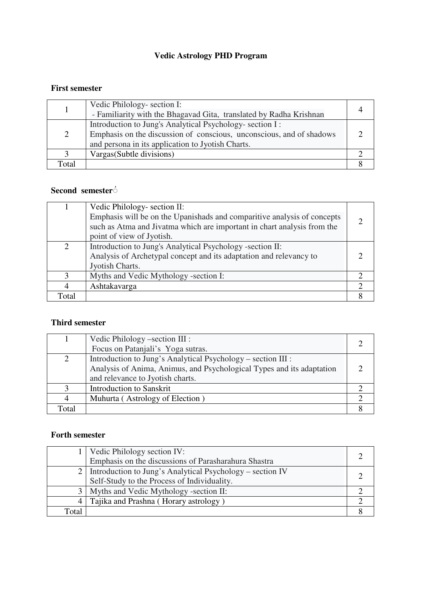# **Vedic Astrology PHD Program**

### **First semester**

|       | Vedic Philology- section I:<br>- Familiarity with the Bhagavad Gita, translated by Radha Krishnan                                                                                     |  |
|-------|---------------------------------------------------------------------------------------------------------------------------------------------------------------------------------------|--|
| 2     | Introduction to Jung's Analytical Psychology- section I:<br>Emphasis on the discussion of conscious, unconscious, and of shadows<br>and persona in its application to Jyotish Charts. |  |
| 3     | Vargas (Subtle divisions)                                                                                                                                                             |  |
| Total |                                                                                                                                                                                       |  |

## **Second semester**◌ُ

|                | Vedic Philology- section II:<br>Emphasis will be on the Upanishads and comparitive analysis of concepts<br>such as Atma and Jivatma which are important in chart analysis from the<br>point of view of Jyotish. |  |
|----------------|-----------------------------------------------------------------------------------------------------------------------------------------------------------------------------------------------------------------|--|
| 2              | Introduction to Jung's Analytical Psychology -section II:<br>Analysis of Archetypal concept and its adaptation and relevancy to<br>Jyotish Charts.                                                              |  |
| 3              | Myths and Vedic Mythology -section I:                                                                                                                                                                           |  |
| $\overline{4}$ | Ashtakavarga                                                                                                                                                                                                    |  |
| Total          |                                                                                                                                                                                                                 |  |

### **Third semester**

|       | Vedic Philology – section III :<br>Focus on Patanjali's Yoga sutras.                                                                  |  |
|-------|---------------------------------------------------------------------------------------------------------------------------------------|--|
| 2     | Introduction to Jung's Analytical Psychology – section III :<br>Analysis of Anima, Animus, and Psychological Types and its adaptation |  |
|       | and relevance to Jyotish charts.                                                                                                      |  |
| 3     | <b>Introduction to Sanskrit</b>                                                                                                       |  |
| 4     | Muhurta (Astrology of Election)                                                                                                       |  |
| Total |                                                                                                                                       |  |

### **Forth semester**

|       | 1   Vedic Philology section IV:                               |  |
|-------|---------------------------------------------------------------|--|
|       | Emphasis on the discussions of Parasharahura Shastra          |  |
|       | 2   Introduction to Jung's Analytical Psychology – section IV |  |
|       | Self-Study to the Process of Individuality.                   |  |
|       | 3   Myths and Vedic Mythology -section II:                    |  |
|       | 4   Tajika and Prashna (Horary astrology)                     |  |
| Total |                                                               |  |